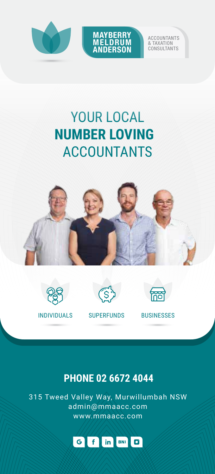



ACCOUNTANTS & TAXATION CONSULTANTS

## YOUR LOCAL **NUMBER LOVING**  ACCOUNTANTS









INDIVIDUALS SUPERFUNDS BUSINESSES

## **PHONE 02 6672 4044**

315 Tweed Valley Way, Murwillumbah NSW admin@mmaacc.com www.mmaacc.com